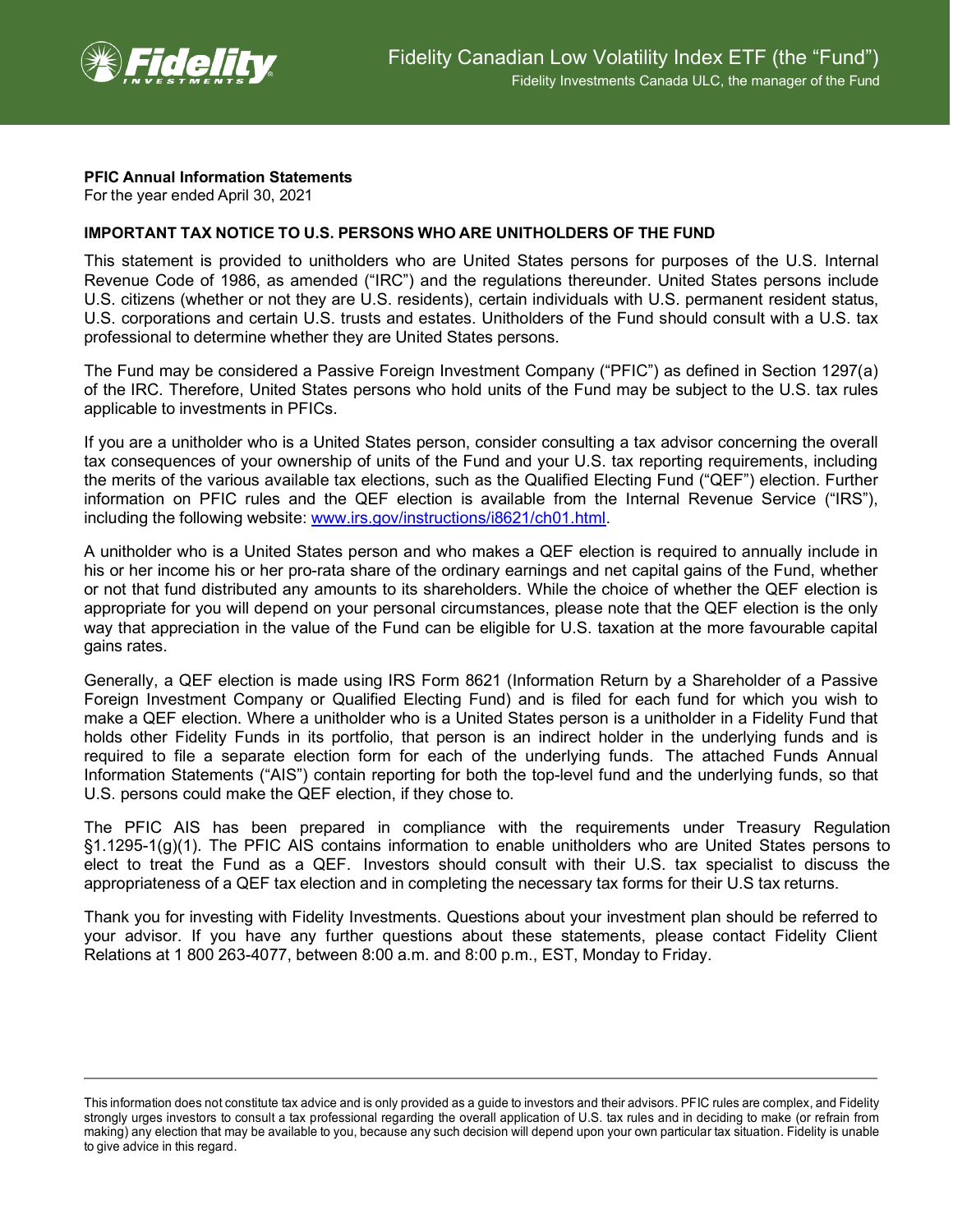

## **PFIC Annual Information Statements**

For the year ended April 30, 2021

## **IMPORTANT TAX NOTICE TO U.S. PERSONS WHO ARE UNITHOLDERS OF THE FUND**

This statement is provided to unitholders who are United States persons for purposes of the U.S. Internal Revenue Code of 1986, as amended ("IRC") and the regulations thereunder. United States persons include U.S. citizens (whether or not they are U.S. residents), certain individuals with U.S. permanent resident status, U.S. corporations and certain U.S. trusts and estates. Unitholders of the Fund should consult with a U.S. tax professional to determine whether they are United States persons.

The Fund may be considered a Passive Foreign Investment Company ("PFIC") as defined in Section 1297(a) of the IRC. Therefore, United States persons who hold units of the Fund may be subject to the U.S. tax rules applicable to investments in PFICs.

If you are a unitholder who is a United States person, consider consulting a tax advisor concerning the overall tax consequences of your ownership of units of the Fund and your U.S. tax reporting requirements, including the merits of the various available tax elections, such as the Qualified Electing Fund ("QEF") election. Further information on PFIC rules and the QEF election is available from the Internal Revenue Service ("IRS"), including the following website: [www.irs.gov/instructions/i8621/ch01.html.](http://www.irs.gov/instructions/i8621/ch01.html)

A unitholder who is a United States person and who makes a QEF election is required to annually include in his or her income his or her pro-rata share of the ordinary earnings and net capital gains of the Fund, whether or not that fund distributed any amounts to its shareholders. While the choice of whether the QEF election is appropriate for you will depend on your personal circumstances, please note that the QEF election is the only way that appreciation in the value of the Fund can be eligible for U.S. taxation at the more favourable capital gains rates.

Generally, a QEF election is made using IRS Form 8621 (Information Return by a Shareholder of a Passive Foreign Investment Company or Qualified Electing Fund) and is filed for each fund for which you wish to make a QEF election. Where a unitholder who is a United States person is a unitholder in a Fidelity Fund that holds other Fidelity Funds in its portfolio, that person is an indirect holder in the underlying funds and is required to file a separate election form for each of the underlying funds. The attached Funds Annual Information Statements ("AIS") contain reporting for both the top-level fund and the underlying funds, so that U.S. persons could make the QEF election, if they chose to.

The PFIC AIS has been prepared in compliance with the requirements under Treasury Regulation §1.1295-1(g)(1). The PFIC AIS contains information to enable unitholders who are United States persons to elect to treat the Fund as a QEF. Investors should consult with their U.S. tax specialist to discuss the appropriateness of a QEF tax election and in completing the necessary tax forms for their U.S tax returns.

Thank you for investing with Fidelity Investments. Questions about your investment plan should be referred to your advisor. If you have any further questions about these statements, please contact Fidelity Client Relations at 1 800 263-4077, between 8:00 a.m. and 8:00 p.m., EST, Monday to Friday.

This information does not constitute tax advice and is only provided as a guide to investors and their advisors. PFIC rules are complex, and Fidelity strongly urges investors to consult a tax professional regarding the overall application of U.S. tax rules and in deciding to make (or refrain from making) any election that may be available to you, because any such decision will depend upon your own particular tax situation. Fidelity is unable to give advice in this regard.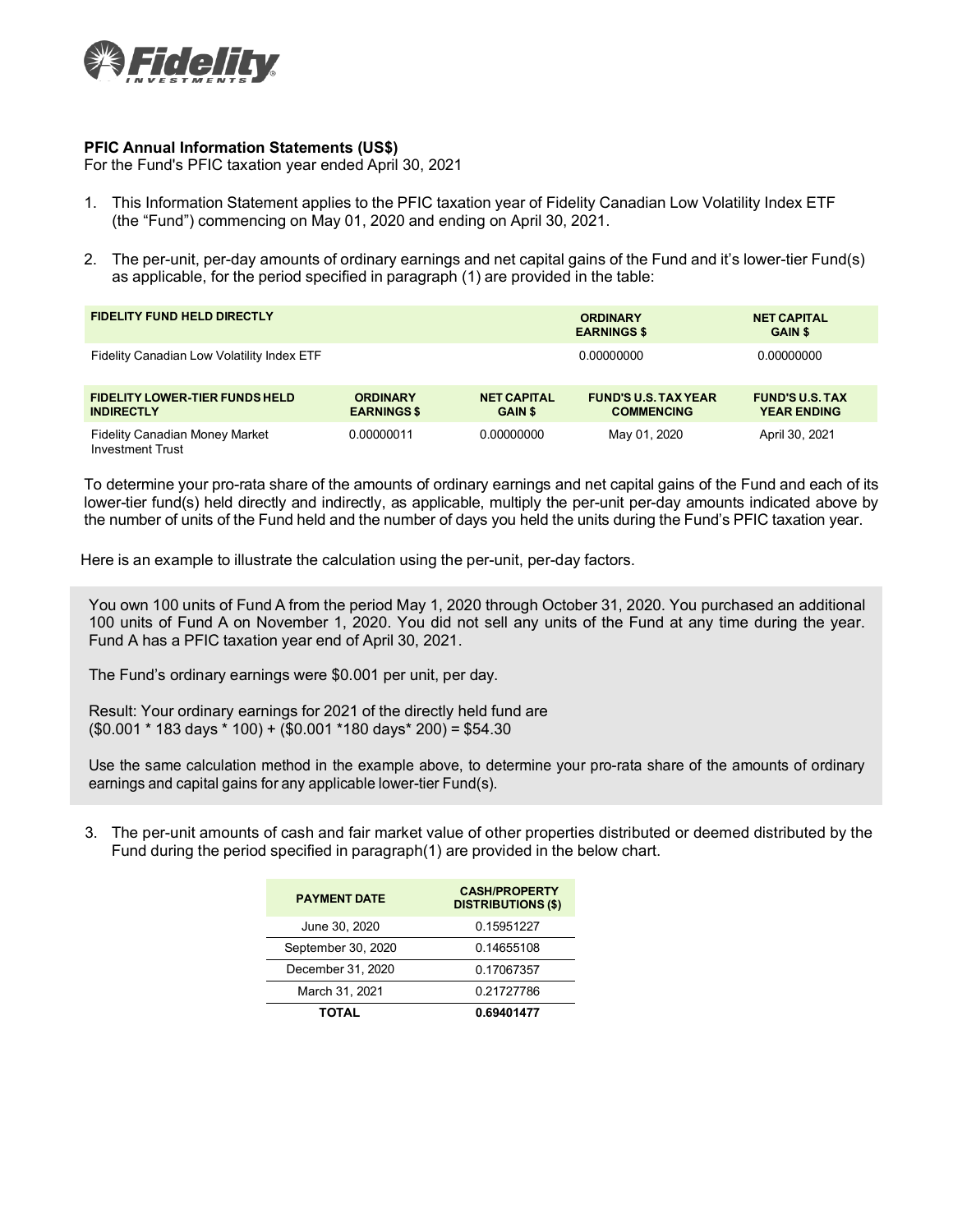

## **PFIC Annual Information Statements (US\$)**

For the Fund's PFIC taxation year ended April 30, 2021

- 1. This Information Statement applies to the PFIC taxation year of Fidelity Canadian Low Volatility Index ETF (the "Fund") commencing on May 01, 2020 and ending on April 30, 2021.
- 2. The per-unit, per-day amounts of ordinary earnings and net capital gains of the Fund and it's lower-tier Fund(s) as applicable, for the period specified in paragraph (1) are provided in the table:

| <b>FIDELITY FUND HELD DIRECTLY</b>                         |                                       |                                      | <b>ORDINARY</b><br><b>EARNINGS \$</b>            | <b>NET CAPITAL</b><br><b>GAIN \$</b>         |
|------------------------------------------------------------|---------------------------------------|--------------------------------------|--------------------------------------------------|----------------------------------------------|
| Fidelity Canadian Low Volatility Index ETF                 |                                       |                                      | 0.00000000                                       | 0.00000000                                   |
| <b>FIDELITY LOWER-TIER FUNDS HELD</b><br><b>INDIRECTLY</b> | <b>ORDINARY</b><br><b>EARNINGS \$</b> | <b>NET CAPITAL</b><br><b>GAIN \$</b> | <b>FUND'S U.S. TAX YEAR</b><br><b>COMMENCING</b> | <b>FUND'S U.S. TAX</b><br><b>YEAR ENDING</b> |
| <b>Fidelity Canadian Money Market</b><br>Investment Trust  | 0.00000011                            | 0.00000000                           | May 01, 2020                                     | April 30, 2021                               |

To determine your pro-rata share of the amounts of ordinary earnings and net capital gains of the Fund and each of its lower-tier fund(s) held directly and indirectly, as applicable, multiply the per-unit per-day amounts indicated above by the number of units of the Fund held and the number of days you held the units during the Fund's PFIC taxation year.

Here is an example to illustrate the calculation using the per-unit, per-day factors.

You own 100 units of Fund A from the period May 1, 2020 through October 31, 2020. You purchased an additional 100 units of Fund A on November 1, 2020. You did not sell any units of the Fund at any time during the year. Fund A has a PFIC taxation year end of April 30, 2021.

The Fund's ordinary earnings were \$0.001 per unit, per day.

Result: Your ordinary earnings for 2021 of the directly held fund are  $($0.001 * 183 \text{ days} * 100) + ($0.001 * 180 \text{ days} * 200) = $54.30$ 

Use the same calculation method in the example above, to determine your pro-rata share of the amounts of ordinary earnings and capital gains for any applicable lower-tier Fund(s).

3. The per-unit amounts of cash and fair market value of other properties distributed or deemed distributed by the Fund during the period specified in paragraph(1) are provided in the below chart.

| <b>PAYMENT DATE</b> | <b>CASH/PROPERTY</b><br><b>DISTRIBUTIONS (\$)</b> |  |  |
|---------------------|---------------------------------------------------|--|--|
| June 30, 2020       | 0.15951227                                        |  |  |
| September 30, 2020  | 0.14655108                                        |  |  |
| December 31, 2020   | 0.17067357                                        |  |  |
| March 31, 2021      | 0.21727786                                        |  |  |
| TOTAL               | 0.69401477                                        |  |  |